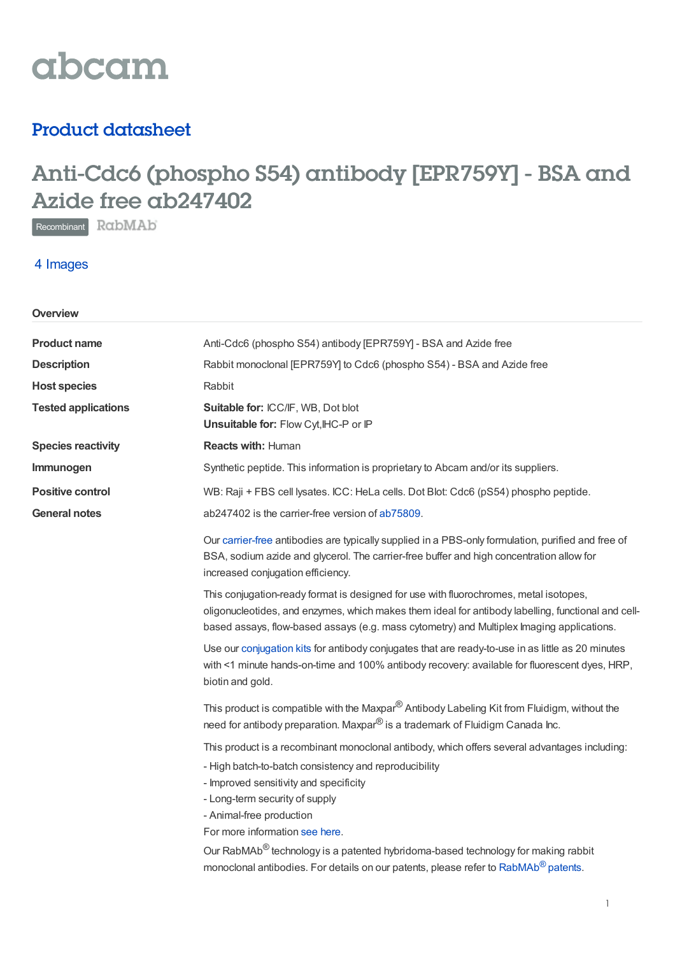

## Product datasheet

# Anti-Cdc6 (phospho S54) antibody [EPR759Y] - BSA and Azide free ab247402

Recombinant RabMAb

### 4 Images

| Overview                   |                                                                                                                                                                                                                                                                                                                                                                                                                                                                                          |
|----------------------------|------------------------------------------------------------------------------------------------------------------------------------------------------------------------------------------------------------------------------------------------------------------------------------------------------------------------------------------------------------------------------------------------------------------------------------------------------------------------------------------|
| <b>Product name</b>        | Anti-Cdc6 (phospho S54) antibody [EPR759Y] - BSA and Azide free                                                                                                                                                                                                                                                                                                                                                                                                                          |
| <b>Description</b>         | Rabbit monoclonal [EPR759Y] to Cdc6 (phospho S54) - BSA and Azide free                                                                                                                                                                                                                                                                                                                                                                                                                   |
| <b>Host species</b>        | Rabbit                                                                                                                                                                                                                                                                                                                                                                                                                                                                                   |
| <b>Tested applications</b> | Suitable for: ICC/IF, WB, Dot blot<br>Unsuitable for: Flow Cyt, IHC-P or IP                                                                                                                                                                                                                                                                                                                                                                                                              |
| <b>Species reactivity</b>  | <b>Reacts with: Human</b>                                                                                                                                                                                                                                                                                                                                                                                                                                                                |
| Immunogen                  | Synthetic peptide. This information is proprietary to Abcam and/or its suppliers.                                                                                                                                                                                                                                                                                                                                                                                                        |
| <b>Positive control</b>    | WB: Raji + FBS cell lysates. ICC: HeLa cells. Dot Blot: Cdc6 (pS54) phospho peptide.                                                                                                                                                                                                                                                                                                                                                                                                     |
| <b>General notes</b>       | ab247402 is the carrier-free version of ab75809.                                                                                                                                                                                                                                                                                                                                                                                                                                         |
|                            | Our carrier-free antibodies are typically supplied in a PBS-only formulation, purified and free of<br>BSA, sodium azide and glycerol. The carrier-free buffer and high concentration allow for<br>increased conjugation efficiency.                                                                                                                                                                                                                                                      |
|                            | This conjugation-ready format is designed for use with fluorochromes, metal isotopes,<br>oligonucleotides, and enzymes, which makes them ideal for antibody labelling, functional and cell-<br>based assays, flow-based assays (e.g. mass cytometry) and Multiplex Imaging applications.                                                                                                                                                                                                 |
|                            | Use our conjugation kits for antibody conjugates that are ready-to-use in as little as 20 minutes<br>with <1 minute hands-on-time and 100% antibody recovery: available for fluorescent dyes, HRP,<br>biotin and gold.                                                                                                                                                                                                                                                                   |
|                            | This product is compatible with the Maxpar <sup>®</sup> Antibody Labeling Kit from Fluidigm, without the<br>need for antibody preparation. Maxpar <sup>®</sup> is a trademark of Fluidigm Canada Inc.                                                                                                                                                                                                                                                                                    |
|                            | This product is a recombinant monoclonal antibody, which offers several advantages including:<br>- High batch-to-batch consistency and reproducibility<br>- Improved sensitivity and specificity<br>- Long-term security of supply<br>- Animal-free production<br>For more information see here.<br>Our RabMAb® technology is a patented hybridoma-based technology for making rabbit<br>monoclonal antibodies. For details on our patents, please refer to RabMAb <sup>®</sup> patents. |
|                            |                                                                                                                                                                                                                                                                                                                                                                                                                                                                                          |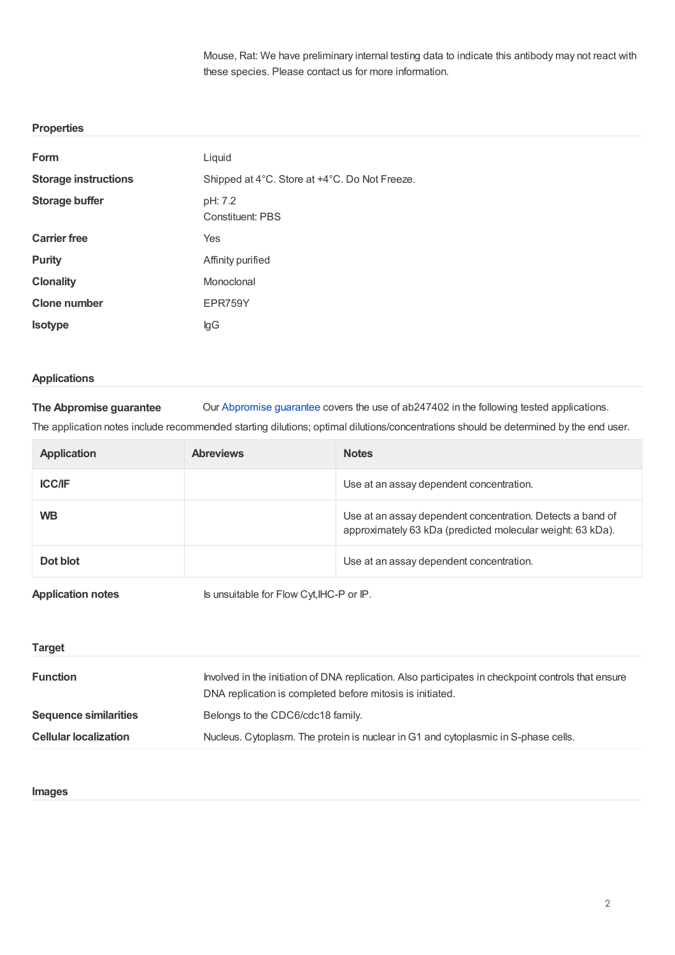Mouse, Rat: We have preliminary internal testing data to indicate this antibody may not react with these species. Please contact us for more information.

#### **Properties**

| Form                        | Liquid                                        |
|-----------------------------|-----------------------------------------------|
| <b>Storage instructions</b> | Shipped at 4°C. Store at +4°C. Do Not Freeze. |
| <b>Storage buffer</b>       | pH: 7.2<br>Constituent: PBS                   |
| <b>Carrier free</b>         | Yes                                           |
| <b>Purity</b>               | Affinity purified                             |
| <b>Clonality</b>            | Monoclonal                                    |
| <b>Clone number</b>         | EPR759Y                                       |
| <b>Isotype</b>              | lgG                                           |

#### **Applications**

**The Abpromise guarantee** Our [Abpromise](https://www.abcam.com/abpromise) guarantee covers the use of ab247402 in the following tested applications.

The application notes include recommended starting dilutions; optimal dilutions/concentrations should be determined by the end user.

| <b>Application</b> | <b>Abreviews</b> | <b>Notes</b>                                                                                                             |
|--------------------|------------------|--------------------------------------------------------------------------------------------------------------------------|
| <b>ICC/IF</b>      |                  | Use at an assay dependent concentration.                                                                                 |
| <b>WB</b>          |                  | Use at an assay dependent concentration. Detects a band of<br>approximately 63 kDa (predicted molecular weight: 63 kDa). |
| Dot blot           |                  | Use at an assay dependent concentration.                                                                                 |
|                    |                  |                                                                                                                          |

**Application notes** Is unsuitable for Flow Cyt, IHC-P or IP.

| <b>Target</b>                |                                                                                                                                                                  |
|------------------------------|------------------------------------------------------------------------------------------------------------------------------------------------------------------|
| <b>Function</b>              | Involved in the initiation of DNA replication. Also participates in checkpoint controls that ensure<br>DNA replication is completed before mitosis is initiated. |
| <b>Sequence similarities</b> | Belongs to the CDC6/cdc18 family.                                                                                                                                |
| <b>Cellular localization</b> | Nucleus. Cytoplasm. The protein is nuclear in G1 and cytoplasmic in S-phase cells.                                                                               |

#### **Images**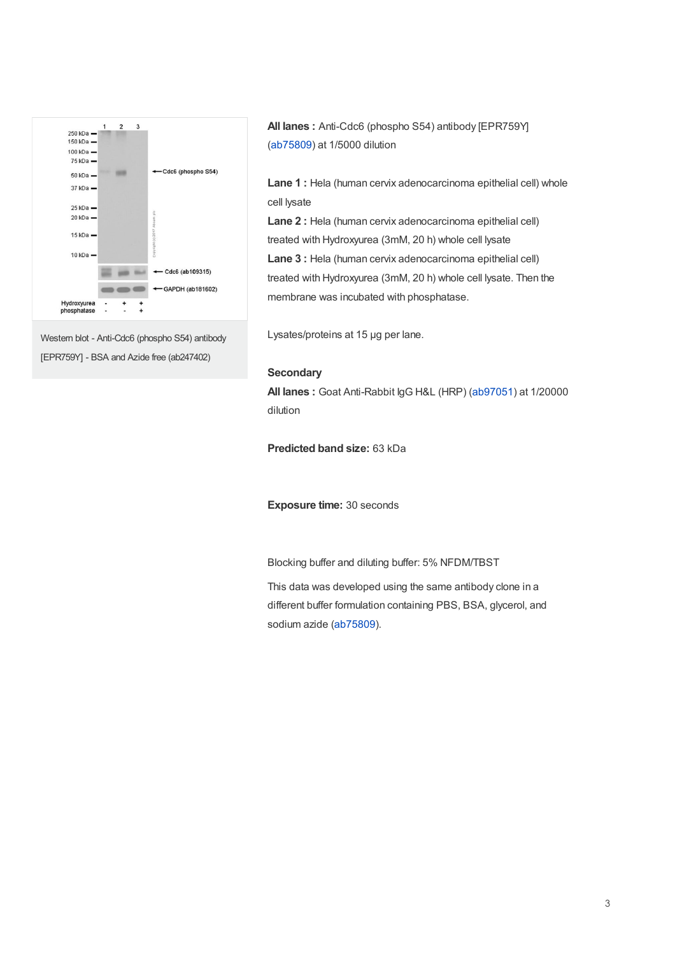

Western blot - Anti-Cdc6 (phospho S54) antibody [EPR759Y] - BSA and Azide free (ab247402)

**All lanes :** Anti-Cdc6 (phospho S54) antibody [EPR759Y] ([ab75809](https://www.abcam.com/ab75809.html)) at 1/5000 dilution

**Lane 1 :** Hela (human cervix adenocarcinoma epithelial cell) whole cell lysate

**Lane 2 :** Hela (human cervix adenocarcinoma epithelial cell) treated with Hydroxyurea (3mM, 20 h) whole cell lysate **Lane 3 :** Hela (human cervix adenocarcinoma epithelial cell) treated with Hydroxyurea (3mM, 20 h) whole cell lysate. Then the membrane was incubated with phosphatase.

Lysates/proteins at 15 µg per lane.

#### **Secondary**

**All lanes :** Goat Anti-Rabbit IgG H&L (HRP) [\(ab97051](https://www.abcam.com/ab97051.html)) at 1/20000 dilution

**Predicted band size:** 63 kDa

**Exposure time:** 30 seconds

Blocking buffer and diluting buffer: 5% NFDM/TBST

This data was developed using the same antibody clone in a different buffer formulation containing PBS, BSA, glycerol, and sodium azide [\(ab75809](https://www.abcam.com/ab75809.html)).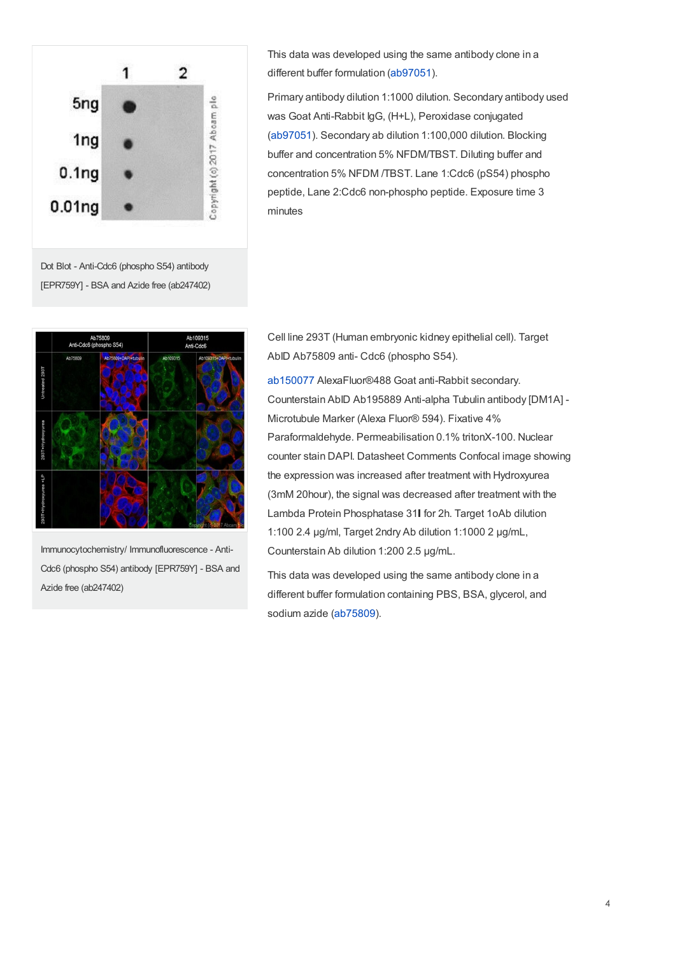

This data was developed using the same antibody clone in a different buffer formulation [\(ab97051](https://www.abcam.com/ab97051.html)).

Primary antibody dilution 1:1000 dilution. Secondary antibody used was Goat Anti-Rabbit IgG, (H+L), Peroxidase conjugated ([ab97051](https://www.abcam.com/ab97051.html)). Secondary ab dilution 1:100,000 dilution. Blocking buffer and concentration 5% NFDM/TBST. Diluting buffer and concentration 5% NFDM /TBST. Lane 1:Cdc6 (pS54) phospho peptide, Lane 2:Cdc6 non-phospho peptide. Exposure time 3 minutes

Dot Blot - Anti-Cdc6 (phospho S54) antibody [EPR759Y] - BSA and Azide free (ab247402)



Immunocytochemistry/ Immunofluorescence - Anti-Cdc6 (phospho S54) antibody [EPR759Y] - BSA and Azide free (ab247402)

Cell line 293T (Human embryonic kidney epithelial cell). Target AbID Ab75809 anti- Cdc6 (phospho S54).

[ab150077](https://www.abcam.com/ab150077.html) AlexaFluor®488 Goat anti-Rabbit secondary. Counterstain AbID Ab195889 Anti-alpha Tubulin antibody [DM1A] - Microtubule Marker (Alexa Fluor® 594). Fixative 4% Paraformaldehyde. Permeabilisation 0.1% tritonX-100. Nuclear counter stain DAPI. Datasheet Comments Confocal image showing the expression was increased after treatment with Hydroxyurea (3mM 20hour), the signal was decreased after treatment with the Lambda Protein Phosphatase 31 for 2h. Target 1oAb dilution 1:100 2.4 μg/ml, Target 2ndry Ab dilution 1:1000 2 μg/mL, Counterstain Ab dilution 1:200 2.5 μg/mL.

This data was developed using the same antibody clone in a different buffer formulation containing PBS, BSA, glycerol, and sodium azide [\(ab75809](https://www.abcam.com/ab75809.html)).